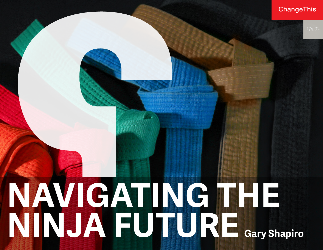### ChangeThis

# **NAVIGATING THE NINJA FUTURE Gary Shapiro**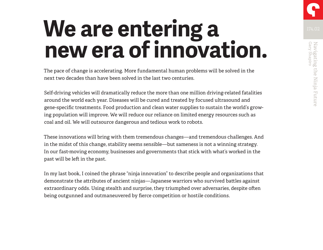## We are entering a **Media new era of innovation.**

The pace of change is accelerating. More fundamental human problems will be solved in the next two decades than have been solved in the last two centuries.

Self-driving vehicles will dramatically reduce the more than one million driving-related fatalities around the world each year. Diseases will be cured and treated by focused ultrasound and gene-specific treatments. Food production and clean water supplies to sustain the world's growing population will improve. We will reduce our reliance on limited energy resources such as coal and oil. We will outsource dangerous and tedious work to robots.

These innovations will bring with them tremendous changes—and tremendous challenges. And in the midst of this change, stability seems sensible—but sameness is not a winning strategy. In our fast-moving economy, businesses and governments that stick with what's worked in the past will be left in the past.

In my last book, I coined the phrase "ninja innovation" to describe people and organizations that demonstrate the attributes of ancient ninjas—Japanese warriors who survived battles against extraordinary odds. Using stealth and surprise, they triumphed over adversaries, despite often being outgunned and outmaneuvered by fierce competition or hostile conditions.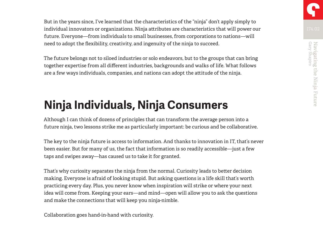But in the years since, I've learned that the characteristics of the "ninja" don't apply simply to individual innovators or organizations. Ninja attributes are characteristics that will power our future. Everyone—from individuals to small businesses, from corporations to nations—will need to adopt the flexibility, creativity, and ingenuity of the ninja to succeed.

The future belongs not to siloed industries or solo endeavors, but to the groups that can bring together expertise from all different industries, backgrounds and walks of life. What follows are a few ways individuals, companies, and nations can adopt the attitude of the ninja.

## **Ninja Individuals, Ninja Consumers**

Although I can think of dozens of principles that can transform the average person into a future ninja, two lessons strike me as particularly important: be curious and be collaborative.

The key to the ninja future is access to information. And thanks to innovation in IT, that's never been easier. But for many of us, the fact that information is so readily accessible—just a few taps and swipes away—has caused us to take it for granted.

That's why curiosity separates the ninja from the normal. Curiosity leads to better decision making. Everyone is afraid of looking stupid. But asking questions is a life skill that's worth practicing every day. Plus, you never know when inspiration will strike or where your next idea will come from. Keeping your ears—and mind—open will allow you to ask the questions and make the connections that will keep you ninja-nimble.

Collaboration goes hand-in-hand with curiosity.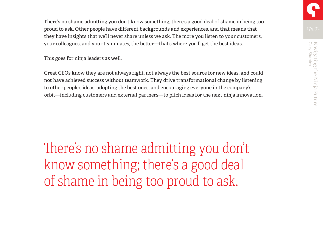There's no shame admitting you don't know something; there's a good deal of shame in being too proud to ask. Other people have different backgrounds and experiences, and that means that they have insights that we'll never share unless we ask. The more you listen to your customers, your colleagues, and your teammates, the better—that's where you'll get the best ideas.

This goes for ninja leaders as well.

Great CEOs know they are not always right, not always the best source for new ideas, and could not have achieved success without teamwork. They drive transformational change by listening to other people's ideas, adopting the best ones, and encouraging everyone in the company's orbit—including customers and external partners—to pitch ideas for the next ninja innovation.

There's no shame admitting you don't know something; there's a good deal of shame in being too proud to ask.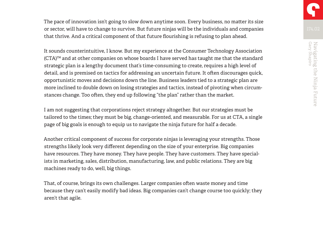The pace of innovation isn't going to slow down anytime soon. Every business, no matter its size or sector, will have to change to survive. But future ninjas will be the individuals and companies that thrive. And a critical component of that future flourishing is refusing to plan ahead.

It sounds counterintuitive, I know. But my experience at the Consumer Technology Association (CTA)™ and at other companies on whose boards I have served has taught me that the standard strategic plan is a lengthy document that's time-consuming to create, requires a high level of detail, and is premised on tactics for addressing an uncertain future. It often discourages quick, opportunistic moves and decisions down the line. Business leaders tied to a strategic plan are more inclined to double down on losing strategies and tactics, instead of pivoting when circumstances change. Too often, they end up following "the plan" rather than the market.

I am not suggesting that corporations reject strategy altogether. But our strategies must be tailored to the times; they must be big, change-oriented, and measurable. For us at CTA, a single page of big goals is enough to equip us to navigate the ninja future for half a decade.

Another critical component of success for corporate ninjas is leveraging your strengths. Those strengths likely look very different depending on the size of your enterprise. Big companies have resources. They have money. They have people. They have customers. They have specialists in marketing, sales, distribution, manufacturing, law, and public relations. They are big machines ready to do, well, big things.

That, of course, brings its own challenges. Larger companies often waste money and time because they can't easily modify bad ideas. Big companies can't change course too quickly; they aren't that agile.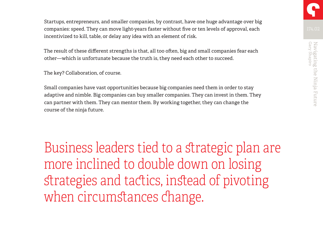Startups, entrepreneurs, and smaller companies, by contrast, have one huge advantage over big companies: speed. They can move light-years faster without five or ten levels of approval, each incentivized to kill, table, or delay any idea with an element of risk.

The result of these different strengths is that, all too often, big and small companies fear each other—which is unfortunate because the truth is, they need each other to succeed.

The key? Collaboration, of course.

Small companies have vast opportunities because big companies need them in order to stay adaptive and nimble. Big companies can buy smaller companies. They can invest in them. They can partner with them. They can mentor them. By working together, they can change the course of the ninja future.

Business leaders tied to a strategic plan are more inclined to double down on losing strategies and tactics, instead of pivoting when circumstances change.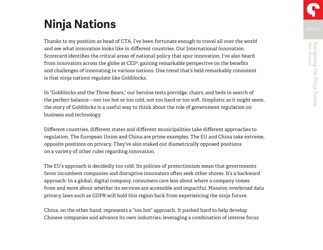## **Ninja Nations**

Thanks to my position as head of CTA, I've been fortunate enough to travel all over the world and see what innovation looks like in different countries. Our International Innovation Scorecard identifies the critical areas of national policy that spur innovation. I've also heard from innovators across the globe at CES®, gaining remarkable perspective on the benefits and challenges of innovating in various nations. One trend that's held remarkably consistent is that ninja nations regulate like Goldilocks.

In "Goldilocks and the Three Bears," our heroine tests porridge, chairs, and beds in search of the perfect balance—not too hot or too cold, not too hard or too soft. Simplistic as it might seem, the story of Goldilocks is a useful way to think about the role of government regulation on business and technology.

Different countries, different states and different municipalities take different approaches to regulation. The European Union and China are prime examples. The EU and China take extreme, opposite positions on privacy. They've also staked out diametrically opposed positions on a variety of other rules regarding innovation.

The EU's approach is decidedly too cold. Its policies of protectionism mean that governments favor incumbent companies and disruptive innovators often seek other shores. It's a backward approach: In a global, digital company, consumers care less about where a company comes from and more about whether its services are accessible and impactful. Massive, overbroad data privacy laws such as GDPR will hold this region back from experiencing the ninja future.

China, on the other hand, represents a "too hot" approach. It pushed hard to help develop Chinese companies and advance its own industries, leveraging a combination of intense focus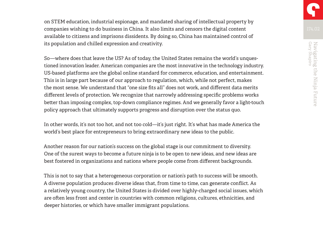on STEM education, industrial espionage, and mandated sharing of intellectual property by companies wishing to do business in China. It also limits and censors the digital content available to citizens and imprisons dissidents. By doing so, China has maintained control of its population and chilled expression and creativity.

So—where does that leave the US? As of today, the United States remains the world's unquestioned innovation leader. American companies are the most innovative in the technology industry. US-based platforms are the global online standard for commerce, education, and entertainment. This is in large part because of our approach to regulation, which, while not perfect, makes the most sense. We understand that "one size fits all" does not work, and different data merits different levels of protection. We recognize that narrowly addressing specific problems works better than imposing complex, top-down compliance regimes. And we generally favor a light-touch policy approach that ultimately supports progress and disruption over the status quo.

In other words, it's not too hot, and not too cold—it's just right. It's what has made America the world's best place for entrepreneurs to bring extraordinary new ideas to the public.

Another reason for our nation's success on the global stage is our commitment to diversity. One of the surest ways to become a future ninja is to be open to new ideas, and new ideas are best fostered in organizations and nations where people come from different backgrounds.

This is not to say that a heterogeneous corporation or nation's path to success will be smooth. A diverse population produces diverse ideas that, from time to time, can generate conflict. As a relatively young country, the United States is divided over highly-charged social issues, which are often less front and center in countries with common religions, cultures, ethnicities, and deeper histories, or which have smaller immigrant populations.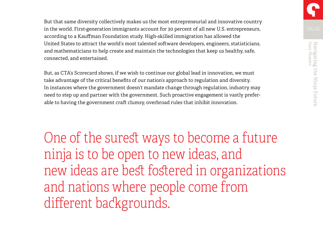But that same diversity collectively makes us the most entrepreneurial and innovative country in the world. First-generation immigrants account for 30 percent of all new U.S. entrepreneurs, according to a Kauffman Foundation study. High-skilled immigration has allowed the United States to attract the world's most talented software developers, engineers, statisticians, and mathematicians to help create and maintain the technologies that keep us healthy, safe, connected, and entertained.

But, as CTA's Scorecard shows, if we wish to continue our global lead in innovation, we must take advantage of the critical benefits of our nation's approach to regulation and diversity. In instances where the government doesn't mandate change through regulation, industry may need to step up and partner with the government. Such proactive engagement is vastly preferable to having the government craft clumsy, overbroad rules that inhibit innovation.

One of the surest ways to become a future ninja is to be open to new ideas, and new ideas are best fostered in organizations and nations where people come from different backgrounds.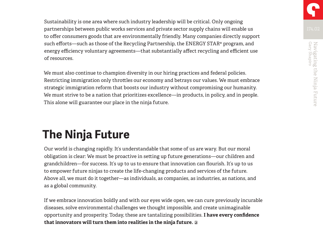Sustainability is one area where such industry leadership will be critical. Only ongoing partnerships between public works services and private sector supply chains will enable us to offer consumers goods that are environmentally friendly. Many companies directly support such efforts—such as those of the Recycling Partnership, the ENERGY STAR® program, and energy efficiency voluntary agreements—that substantially affect recycling and efficient use of resources.

We must also continue to champion diversity in our hiring practices and federal policies. Restricting immigration only throttles our economy and betrays our values. We must embrace strategic immigration reform that boosts our industry without compromising our humanity. We must strive to be a nation that prioritizes excellence—in products, in policy, and in people. This alone will guarantee our place in the ninja future.

## **The Ninja Future**

Our world is changing rapidly. It's understandable that some of us are wary. But our moral obligation is clear: We must be proactive in setting up future generations—our children and grandchildren—for success. It's up to us to ensure that innovation can flourish. It's up to us to empower future ninjas to create the life-changing products and services of the future. Above all, we must do it together—as individuals, as companies, as industries, as nations, and as a global community.

If we embrace innovation boldly and with our eyes wide open, we can cure previously incurable diseases, solve environmental challenges we thought impossible, and create unimaginable opportunity and prosperity. Today, these are tantalizing possibilities. **I have every confidence that innovators will turn them into realities in the ninja future.**